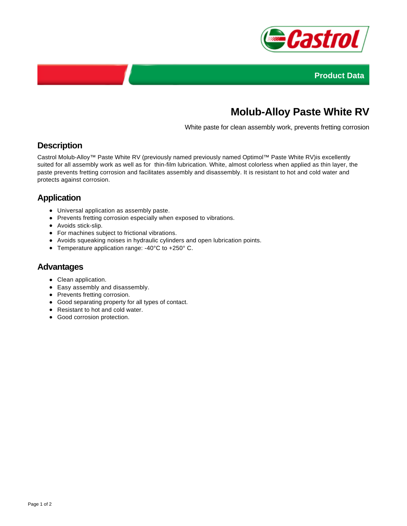



# **Molub-Alloy Paste White RV**

White paste for clean assembly work, prevents fretting corrosion

### **Description**

Castrol Molub-Alloy™ Paste White RV (previously named previously named Optimol™ Paste White RV)is excellently suited for all assembly work as well as for thin-film lubrication. White, almost colorless when applied as thin layer, the paste prevents fretting corrosion and facilitates assembly and disassembly. It is resistant to hot and cold water and protects against corrosion.

## **Application**

- Universal application as assembly paste.
- Prevents fretting corrosion especially when exposed to vibrations.
- Avoids stick-slip.
- For machines subject to frictional vibrations.
- Avoids squeaking noises in hydraulic cylinders and open lubrication points.
- Temperature application range: -40°C to +250° C.

#### **Advantages**

- Clean application.
- Easy assembly and disassembly.
- Prevents fretting corrosion.
- Good separating property for all types of contact.
- Resistant to hot and cold water.
- Good corrosion protection.